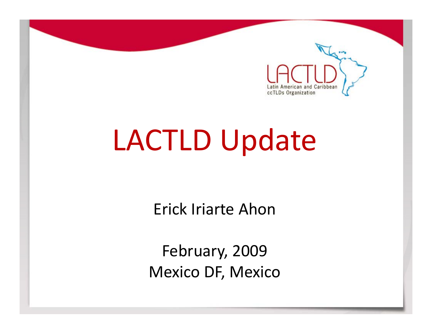

# LACTLD Update

Erick Iriarte Ahon

February, 2009 Mexico DF, Mexico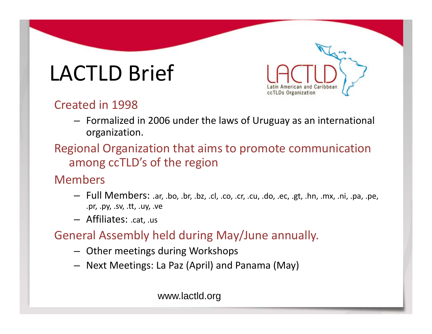## LACTLD Brief

#### Created in 1998

– Formalized in 2006 under the laws of Uruguay as an international organization.

ccTLDs Organization

Regional Organization that aims to promote communication among ccTLD's of the region

Members

- Full Members: .ar, .bo, .br, .bz, .cl, .co, .cr, .cu, .do, .ec, .gt, .hn, .mx, .ni, .pa, .pe, .pr, .py, .sv, .tt, .uy, .ve
- Affiliates: .cat, .us

General Assembly held during May/June annually.

- Other meetings during Workshops
- Next Meetings: La Paz (April) and Panama (May)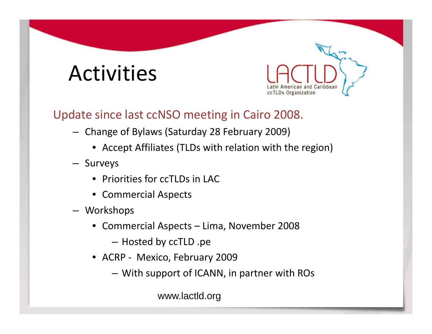#### Activities

#### Update since last ccNSO meeting in Cairo 2008.

- Change of Bylaws (Saturday 28 February 2009)
	- Accept Affiliates (TLDs with relation with the region)

ccTLDs Organization

- Surveys
	- Priorities for ccTLDs in LAC
	- Commercial Aspects
- Workshops
	- Commercial Aspects Lima, November 2008
		- Hosted by ccTLD .pe
	- ACRP ‐ Mexico, February 2009
		- $-$  With support of ICANN, in partner with ROs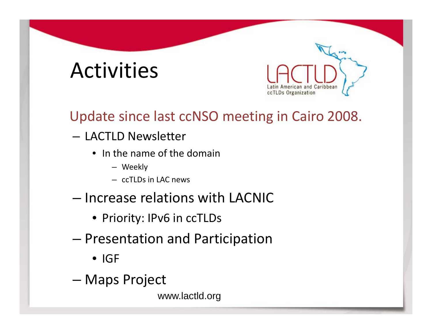#### Activities

#### Update since last ccNSO meeting in Cairo 2008.

Latin American and Caribbear

ccTLDs Organization

- LACTLD Newsletter
	- In the name of the domain
		- Weekly
		- ccTLDs in LAC news
- Increase relations with LACNIC
	- Priority: IPv6 in ccTLDs
- Presentation and Participation
	- IGF
- –Maps Project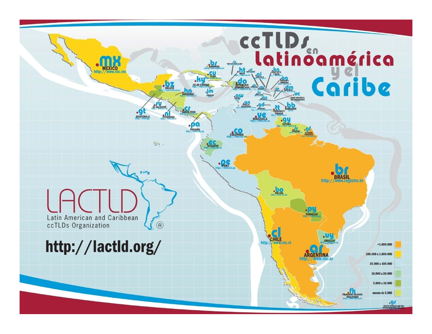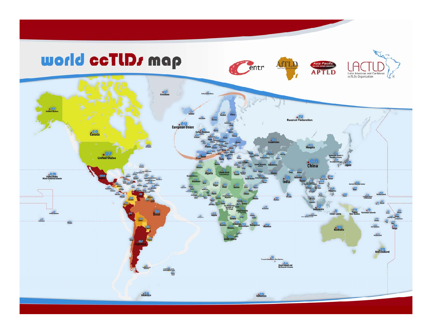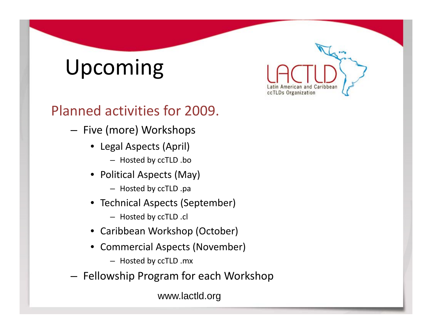## Upcoming

#### Planned activities for 2009.

- $-$  Five (more) Workshops
	- Legal Aspects (April)
		- Hosted by ccTLD .bo
	- Political Aspects (May)
		- Hosted by ccTLD .pa
	- Technical Aspects (September)
		- Hosted by ccTLD .cl
	- Caribbean Workshop (October)
	- Commercial Aspects (November)
		- Hosted by ccTLD .mx
- Fellowship Program for each Worksh  $-$  Fellowship Program for each Workshop

www.lactld.org

ccTLDs Organization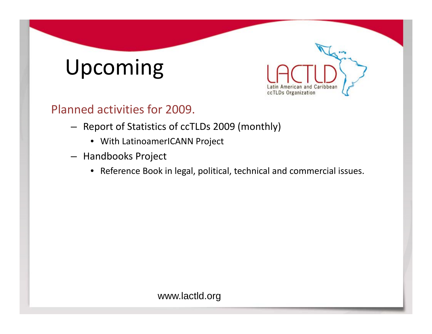### Upcoming

Planned activities for 2009.

- Report of Statistics of ccTLDs 2009 (monthly)
	- With LatinoamerICANN Project
- Handbooks Project
	- Reference Book in legal, political, technical and commercial issues.

Latin American and Caribbean<br>ccTLDs Organization